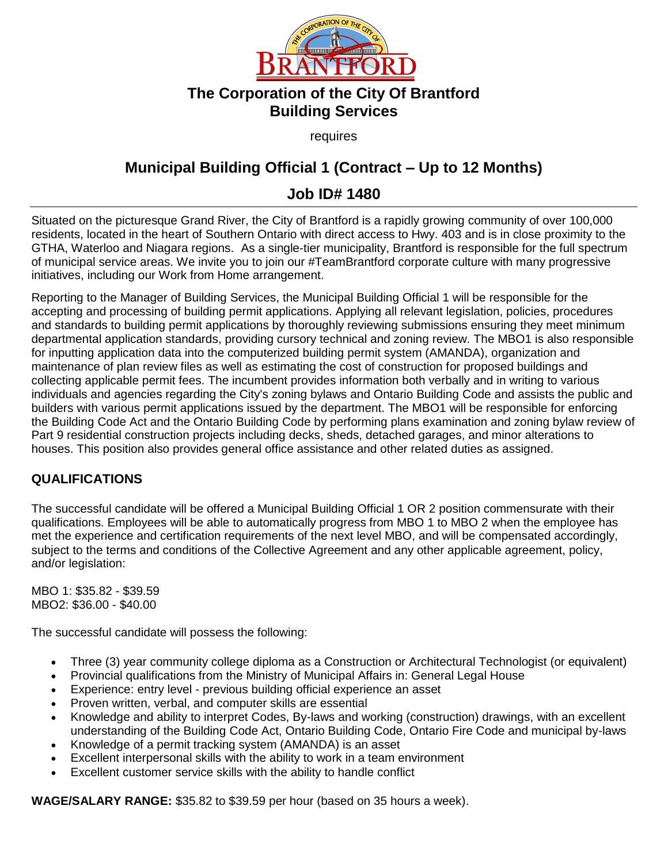

## **The Corporation of the City Of Brantford Building Services**

requires

## **Municipal Building Official 1 (Contract – Up to 12 Months)**

## **Job ID# 1480**

Situated on the picturesque Grand River, the City of Brantford is a rapidly growing community of over 100,000 residents, located in the heart of Southern Ontario with direct access to Hwy. 403 and is in close proximity to the GTHA, Waterloo and Niagara regions. As a single-tier municipality, Brantford is responsible for the full spectrum of municipal service areas. We invite you to join our #TeamBrantford corporate culture with many progressive initiatives, including our Work from Home arrangement.

Reporting to the Manager of Building Services, the Municipal Building Official 1 will be responsible for the accepting and processing of building permit applications. Applying all relevant legislation, policies, procedures and standards to building permit applications by thoroughly reviewing submissions ensuring they meet minimum departmental application standards, providing cursory technical and zoning review. The MBO1 is also responsible for inputting application data into the computerized building permit system (AMANDA), organization and maintenance of plan review files as well as estimating the cost of construction for proposed buildings and collecting applicable permit fees. The incumbent provides information both verbally and in writing to various individuals and agencies regarding the City's zoning bylaws and Ontario Building Code and assists the public and builders with various permit applications issued by the department. The MBO1 will be responsible for enforcing the Building Code Act and the Ontario Building Code by performing plans examination and zoning bylaw review of Part 9 residential construction projects including decks, sheds, detached garages, and minor alterations to houses. This position also provides general office assistance and other related duties as assigned.

## **QUALIFICATIONS**

The successful candidate will be offered a Municipal Building Official 1 OR 2 position commensurate with their qualifications. Employees will be able to automatically progress from MBO 1 to MBO 2 when the employee has met the experience and certification requirements of the next level MBO, and will be compensated accordingly, subject to the terms and conditions of the Collective Agreement and any other applicable agreement, policy, and/or legislation:

MBO 1: \$35.82 - \$39.59 MBO2: \$36.00 - \$40.00

The successful candidate will possess the following:

- Three (3) year community college diploma as a Construction or Architectural Technologist (or equivalent)
- Provincial qualifications from the Ministry of Municipal Affairs in: General Legal House
- Experience: entry level previous building official experience an asset
- Proven written, verbal, and computer skills are essential
- Knowledge and ability to interpret Codes, By-laws and working (construction) drawings, with an excellent understanding of the Building Code Act, Ontario Building Code, Ontario Fire Code and municipal by-laws
- Knowledge of a permit tracking system (AMANDA) is an asset
- Excellent interpersonal skills with the ability to work in a team environment
- Excellent customer service skills with the ability to handle conflict

**WAGE/SALARY RANGE:** \$35.82 to \$39.59 per hour (based on 35 hours a week).